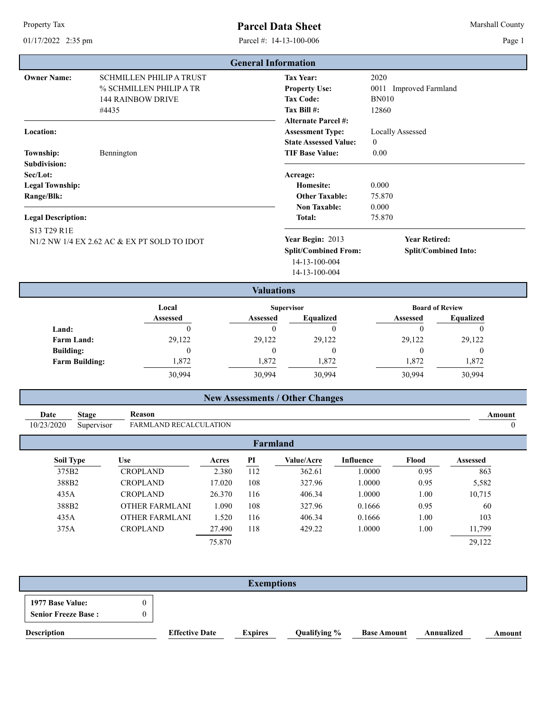Property Tax

## **Parcel Data Sheet** Marshall County

01/17/2022 2:35 pm Parcel #: 14-13-100-006

Page 1

|                                                                                         |                                                                                                 | <b>General Information</b> |                                                                                                           |                                                         |                                              |
|-----------------------------------------------------------------------------------------|-------------------------------------------------------------------------------------------------|----------------------------|-----------------------------------------------------------------------------------------------------------|---------------------------------------------------------|----------------------------------------------|
| <b>Owner Name:</b>                                                                      | <b>SCHMILLEN PHILIP A TRUST</b><br>% SCHMILLEN PHILIP A TR<br><b>144 RAINBOW DRIVE</b><br>#4435 |                            | <b>Tax Year:</b><br><b>Property Use:</b><br><b>Tax Code:</b><br>Tax Bill #:<br><b>Alternate Parcel #:</b> | 2020<br>0011 Improved Farmland<br><b>BN010</b><br>12860 |                                              |
| Location:<br><b>Township:</b>                                                           | Bennington                                                                                      |                            | <b>Assessment Type:</b><br><b>State Assessed Value:</b><br><b>TIF Base Value:</b>                         | <b>Locally Assessed</b><br>$\theta$<br>0.00             |                                              |
| <b>Subdivision:</b><br>Sec/Lot:<br><b>Legal Township:</b><br>Range/Blk:                 |                                                                                                 |                            | Acreage:<br>Homesite:<br><b>Other Taxable:</b><br><b>Non Taxable:</b>                                     | 0.000<br>75.870<br>0.000                                |                                              |
| <b>Legal Description:</b><br>S13 T29 R1E<br>N1/2 NW 1/4 EX 2.62 AC & EX PT SOLD TO IDOT |                                                                                                 |                            | <b>Total:</b><br>Year Begin: 2013<br><b>Split/Combined From:</b><br>14-13-100-004<br>14-13-100-004        |                                                         | <b>Year Retired:</b><br>Split/Combined Into: |
|                                                                                         |                                                                                                 | <b>Valuations</b>          |                                                                                                           |                                                         |                                              |
| Local<br><b>Assessed</b>                                                                |                                                                                                 | Assessed                   | <b>Supervisor</b><br><b>Equalized</b>                                                                     | Assessed                                                | <b>Board of Review</b><br><b>Equalized</b>   |
| Land:<br><b>Farm Land:</b>                                                              | $\Omega$<br>29,122                                                                              | $\Omega$<br>29,122         | $\Omega$<br>29,122                                                                                        | $\Omega$<br>29,122                                      | $\Omega$<br>29,122                           |
| <b>Building:</b><br><b>Farm Building:</b>                                               | $\mathbf{0}$<br>1,872                                                                           | $\theta$<br>1,872          | $\theta$<br>1,872                                                                                         | $\theta$<br>1,872                                       | $\theta$<br>1,872                            |
|                                                                                         | 30,994                                                                                          | 30,994                     | 30,994                                                                                                    | 30,994                                                  | 30,994                                       |

## **New Assessments / Other Changes**

| Date       | <b>Stage</b> | Reason                 |        |     |            |           |       |                 | Amount |
|------------|--------------|------------------------|--------|-----|------------|-----------|-------|-----------------|--------|
| 10/23/2020 | Supervisor   | FARMLAND RECALCULATION |        |     |            |           |       |                 |        |
|            |              |                        |        |     | Farmland   |           |       |                 |        |
| Soil Type  |              | Use                    | Acres  | PI  | Value/Acre | Influence | Flood | <b>Assessed</b> |        |
| 375B2      |              | <b>CROPLAND</b>        | 2.380  | 112 | 362.61     | 0000.     | 0.95  |                 | 863    |
| 388B2      |              | <b>CROPLAND</b>        | 17.020 | 108 | 327.96     | 1.0000    | 0.95  |                 | 5,582  |
| 435A       |              | CROPLAND               | 26.370 | 116 | 406.34     | 0000.     | 00.1  | 10,715          |        |

| <b>Exemptions</b>               |  |
|---------------------------------|--|
| 1977 Base Value:<br>0           |  |
| <b>Senior Freeze Base:</b><br>0 |  |

388B2 OTHER FARMLAND 1.090 108 327.96 0.1666 0.95 60 435A OTHER FARMLANI 1.520 116 406.34 0.1666 1.00 103

375A CROPLAND 27.490 118 429.22 1.0000 1.00 11,799

**Description Effective Date Expires Qualifying % Base Amount Annualized Amount**